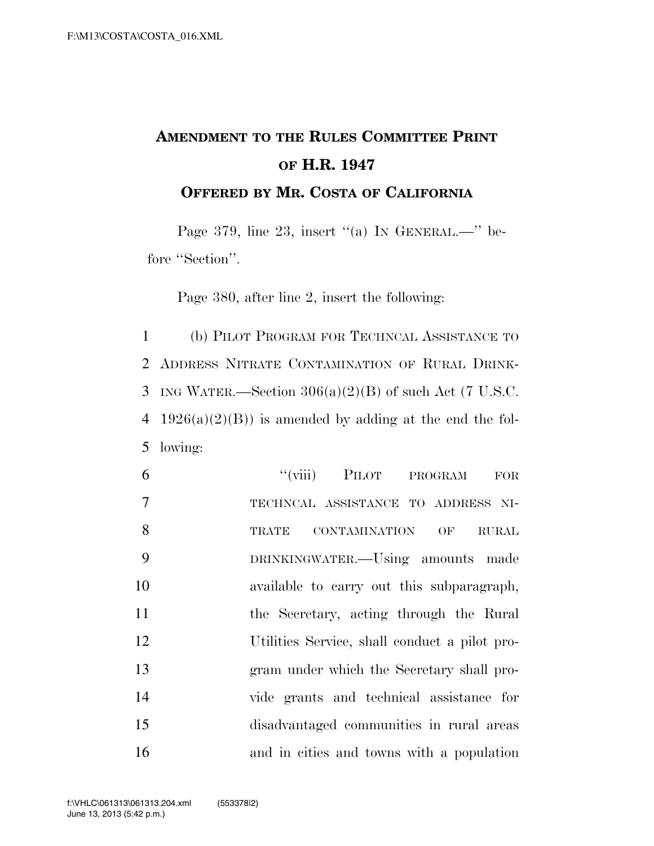## **AMENDMENT TO THE RULES COMMITTEE PRINT OF H.R. 1947**

**OFFERED BY MR. COSTA OF CALIFORNIA**

Page 379, line 23, insert "(a) IN GENERAL.—" before "Section".

Page 380, after line 2, insert the following:

1 (b) PILOT PROGRAM FOR TECHNCAL ASSISTANCE TO 2 ADDRESS NITRATE CONTAMINATION OF RURAL DRINK-3 ING WATER.—Section  $306(a)(2)(B)$  of such Act (7 U.S.C. 4 1926(a)(2)(B)) is amended by adding at the end the fol-5 lowing:

| 6              | "(viii) PILOT PROGRAM<br><b>FOR</b>           |
|----------------|-----------------------------------------------|
| $\overline{7}$ | TECHNCAL ASSISTANCE TO ADDRESS NI-            |
| 8              | TRATE CONTAMINATION OF<br><b>RURAL</b>        |
| 9              | DRINKINGWATER.—Using amounts made             |
| 10             | available to carry out this subparagraph,     |
| 11             | the Secretary, acting through the Rural       |
| 12             | Utilities Service, shall conduct a pilot pro- |
| 13             | gram under which the Secretary shall pro-     |
| 14             | vide grants and technical assistance for      |
| 15             | disadvantaged communities in rural areas      |
| 16             | and in cities and towns with a population     |